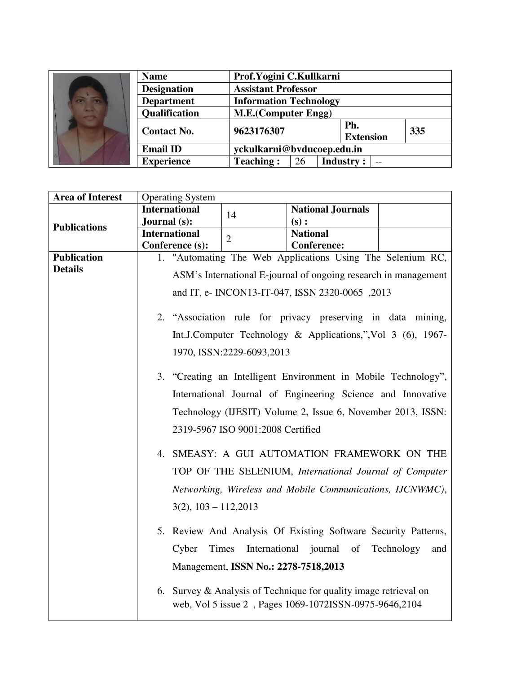| $\overline{a}$ $\overline{a}$<br><b>ALL STEP</b> | <b>Name</b>        | Prof.Yogini C.Kullkarni       |                                |  |
|--------------------------------------------------|--------------------|-------------------------------|--------------------------------|--|
|                                                  | <b>Designation</b> | <b>Assistant Professor</b>    |                                |  |
|                                                  | <b>Department</b>  | <b>Information Technology</b> |                                |  |
|                                                  | Qualification      | <b>M.E.(Computer Engg)</b>    |                                |  |
|                                                  | <b>Contact No.</b> | 9623176307                    | Ph.<br>335<br><b>Extension</b> |  |
|                                                  | <b>Email ID</b>    | yckulkarni@bvducoep.edu.in    |                                |  |
|                                                  | <b>Experience</b>  | <b>Teaching:</b><br>26        | <b>Industry:</b><br>$-$        |  |

| <b>Area of Interest</b> | <b>Operating System</b>                         |                                      |                                                                                                                            |                   |  |  |
|-------------------------|-------------------------------------------------|--------------------------------------|----------------------------------------------------------------------------------------------------------------------------|-------------------|--|--|
|                         | <b>International</b>                            | 14                                   | <b>National Journals</b>                                                                                                   |                   |  |  |
| <b>Publications</b>     | Journal (s):                                    |                                      | (s):                                                                                                                       |                   |  |  |
|                         | <b>International</b>                            | $\overline{2}$                       | <b>National</b>                                                                                                            |                   |  |  |
|                         | Conference (s):                                 |                                      | <b>Conference:</b>                                                                                                         |                   |  |  |
| <b>Publication</b>      |                                                 |                                      | 1. "Automating The Web Applications Using The Selenium RC,                                                                 |                   |  |  |
| <b>Details</b>          |                                                 |                                      | ASM's International E-journal of ongoing research in management                                                            |                   |  |  |
|                         | and IT, e- INCON13-IT-047, ISSN 2320-0065, 2013 |                                      |                                                                                                                            |                   |  |  |
|                         |                                                 |                                      | 2. "Association rule for privacy preserving in data mining,                                                                |                   |  |  |
|                         |                                                 |                                      | Int.J.Computer Technology & Applications,", Vol 3 (6), 1967-                                                               |                   |  |  |
|                         |                                                 | 1970, ISSN:2229-6093,2013            |                                                                                                                            |                   |  |  |
|                         |                                                 |                                      | 3. "Creating an Intelligent Environment in Mobile Technology",                                                             |                   |  |  |
|                         |                                                 |                                      |                                                                                                                            |                   |  |  |
|                         |                                                 |                                      | International Journal of Engineering Science and Innovative                                                                |                   |  |  |
|                         |                                                 |                                      | Technology (IJESIT) Volume 2, Issue 6, November 2013, ISSN:                                                                |                   |  |  |
|                         |                                                 | 2319-5967 ISO 9001:2008 Certified    |                                                                                                                            |                   |  |  |
|                         |                                                 |                                      | 4. SMEASY: A GUI AUTOMATION FRAMEWORK ON THE                                                                               |                   |  |  |
|                         |                                                 |                                      | TOP OF THE SELENIUM, International Journal of Computer                                                                     |                   |  |  |
|                         |                                                 |                                      |                                                                                                                            |                   |  |  |
|                         |                                                 |                                      | Networking, Wireless and Mobile Communications, IJCNWMC),                                                                  |                   |  |  |
|                         | $3(2), 103 - 112, 2013$                         |                                      |                                                                                                                            |                   |  |  |
|                         |                                                 |                                      | 5. Review And Analysis Of Existing Software Security Patterns,                                                             |                   |  |  |
|                         | Cyber                                           | Times                                | International journal of                                                                                                   | Technology<br>and |  |  |
|                         |                                                 | Management, ISSN No.: 2278-7518,2013 |                                                                                                                            |                   |  |  |
|                         |                                                 |                                      |                                                                                                                            |                   |  |  |
|                         |                                                 |                                      | 6. Survey & Analysis of Technique for quality image retrieval on<br>web, Vol 5 issue 2, Pages 1069-1072ISSN-0975-9646,2104 |                   |  |  |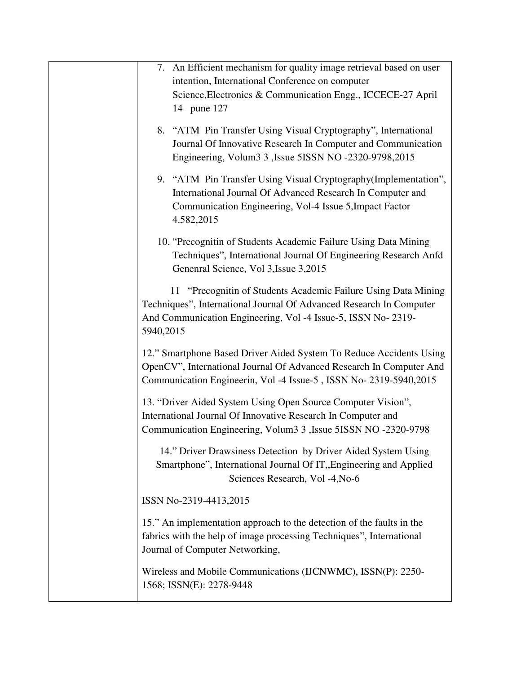| 7. An Efficient mechanism for quality image retrieval based on user                                                                   |
|---------------------------------------------------------------------------------------------------------------------------------------|
| intention, International Conference on computer<br>Science, Electronics & Communication Engg., ICCECE-27 April                        |
| 14 -pune 127                                                                                                                          |
|                                                                                                                                       |
| 8. "ATM Pin Transfer Using Visual Cryptography", International                                                                        |
| Journal Of Innovative Research In Computer and Communication<br>Engineering, Volum3 3, Issue 5ISSN NO -2320-9798, 2015                |
|                                                                                                                                       |
| 9. "ATM Pin Transfer Using Visual Cryptography (Implementation",                                                                      |
| International Journal Of Advanced Research In Computer and<br>Communication Engineering, Vol-4 Issue 5, Impact Factor                 |
| 4.582,2015                                                                                                                            |
|                                                                                                                                       |
| 10. "Precognitin of Students Academic Failure Using Data Mining<br>Techniques", International Journal Of Engineering Research Anfd    |
| Genenral Science, Vol 3, Issue 3, 2015                                                                                                |
|                                                                                                                                       |
| 11 "Precognitin of Students Academic Failure Using Data Mining<br>Techniques", International Journal Of Advanced Research In Computer |
| And Communication Engineering, Vol -4 Issue-5, ISSN No- 2319-                                                                         |
| 5940,2015                                                                                                                             |
| 12." Smartphone Based Driver Aided System To Reduce Accidents Using                                                                   |
| OpenCV", International Journal Of Advanced Research In Computer And                                                                   |
| Communication Engineerin, Vol -4 Issue-5, ISSN No- 2319-5940, 2015                                                                    |
| 13. "Driver Aided System Using Open Source Computer Vision",                                                                          |
| International Journal Of Innovative Research In Computer and                                                                          |
| Communication Engineering, Volum3 3, Issue 5ISSN NO -2320-9798                                                                        |
| 14." Driver Drawsiness Detection by Driver Aided System Using                                                                         |
| Smartphone", International Journal Of IT, Engineering and Applied                                                                     |
| Sciences Research, Vol -4, No-6                                                                                                       |
| ISSN No-2319-4413,2015                                                                                                                |
|                                                                                                                                       |
| 15." An implementation approach to the detection of the faults in the                                                                 |
| fabrics with the help of image processing Techniques", International<br>Journal of Computer Networking,                               |
|                                                                                                                                       |
| Wireless and Mobile Communications (IJCNWMC), ISSN(P): 2250-                                                                          |
| 1568; ISSN(E): 2278-9448                                                                                                              |